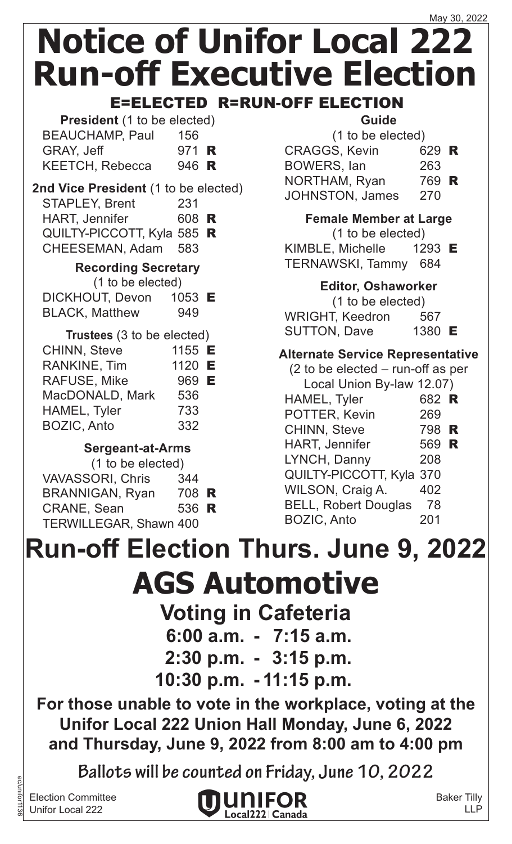### May 30, 2022 **Notice of Unifor Local 222 Run-off Executive Election**

E=ELECTED R=RUN-OFF ELECTION

| <b>President</b> (1 to be elected) |              |  |  |
|------------------------------------|--------------|--|--|
| <b>BEAUCHAMP, Paul</b>             | 156          |  |  |
| GRAY, Jeff                         | 971 <b>R</b> |  |  |
| <b>KEETCH, Rebecca</b>             | 946 R        |  |  |

#### **2nd Vice President** (1 to be elected) STAPLEY, Brent 231 HART, Jennifer 608 R

QUILTY-PICCOTT, Kyla 585 R CHEESEMAN, Adam 583

### **Recording Secretary**

| (1 to be elected) |          |  |
|-------------------|----------|--|
| DICKHOUT, Devon   | 1053 $E$ |  |
|                   |          |  |

| <b>BLACK, Matthew</b> |                             |  | 949 |  |
|-----------------------|-----------------------------|--|-----|--|
|                       | $\sim$ $\sim$ $\sim$ $\sim$ |  |     |  |

| Trustees (3 to be elected) |        |  |  |
|----------------------------|--------|--|--|
| <b>CHINN, Steve</b>        | 1155 E |  |  |
| <b>RANKINE, Tim</b>        | 1120 E |  |  |
| RAFUSE, Mike               | 969 E  |  |  |
| MacDONALD, Mark            | 536    |  |  |
| HAMEL, Tyler               | 733    |  |  |
| <b>BOZIC, Anto</b>         | 332    |  |  |

### **Sergeant-at-Arms**

| (1 to be elected)             |       |  |
|-------------------------------|-------|--|
| <b>VAVASSORI, Chris</b>       | 344   |  |
| <b>BRANNIGAN, Ryan</b>        | 708 R |  |
| <b>CRANE, Sean</b>            | 536 R |  |
| <b>TERWILLEGAR, Shawn 400</b> |       |  |
|                               |       |  |

### **Guide**

| (1 to be elected)      |       |  |
|------------------------|-------|--|
| <b>CRAGGS, Kevin</b>   | 629 R |  |
| BOWERS, lan            | 263   |  |
| NORTHAM, Ryan          | 769 R |  |
| <b>JOHNSTON, James</b> | 270   |  |
|                        |       |  |

**Female Member at Large**

(1 to be elected)

KIMBLE, Michelle 1293 E TERNAWSKI, Tammy 684

### **Editor, Oshaworker**

(1 to be elected) WRIGHT, Keedron 567 SUTTON, Dave 1380 E

### **Alternate Service Representative**

| $(2)$ to be elected – run-off as per |       |  |
|--------------------------------------|-------|--|
| Local Union By-law 12.07)            |       |  |
| HAMEL, Tyler                         | 682 R |  |
| POTTER, Kevin                        | 269   |  |
| <b>CHINN, Steve</b>                  | 798 R |  |
| <b>HART, Jennifer</b>                | 569 R |  |
| LYNCH, Danny                         | 208   |  |
| QUILTY-PICCOTT, Kyla 370             |       |  |
| WILSON, Craig A.                     | 402   |  |
| <b>BELL, Robert Douglas</b>          | 78    |  |
| <b>BOZIC, Anto</b>                   | 201   |  |
|                                      |       |  |

# **Run-off Election Thurs. June 9, 2022**

## **AGS Automotive**

**Voting in Cafeteria**

- **6:00 a.m. - 7:15 a.m.**
- **2:30 p.m. - 3:15 p.m.**
- **10:30 p.m. - 11:15 p.m.**

**For those unable to vote in the workplace, voting at the Unifor Local 222 Union Hall Monday, June 6, 2022 and Thursday, June 9, 2022 from 8:00 am to 4:00 pm**

**Ballots will be counted on Friday, June 10, 2022**

Election Committee Unifor Local 222

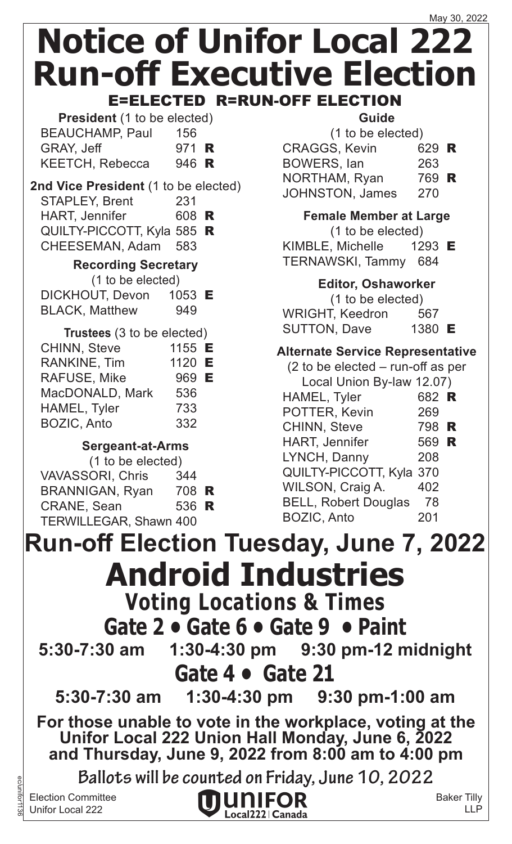| <b>President</b> (1 to be elected) |       |  |
|------------------------------------|-------|--|
| <b>BEAUCHAMP, Paul</b>             | 156   |  |
| GRAY, Jeff                         | 971 R |  |
| <b>KEETCH, Rebecca</b>             | 946 R |  |

### **2nd Vice President** (1 to be elected) STAPLEY, Brent 231

| <b>HART, Jennifer</b>      | 608 R |  |
|----------------------------|-------|--|
| QUILTY-PICCOTT, Kyla 585 R |       |  |
| CHEESEMAN, Adam 583        |       |  |

### **Recording Secretary**

| (1 to be elected)     |                   |  |
|-----------------------|-------------------|--|
| DICKHOUT, Devon       | 1053 $\mathsf{E}$ |  |
| <b>BLACK, Matthew</b> | 949               |  |

| Trustees (3 to be elected) |        |  |
|----------------------------|--------|--|
| <b>CHINN, Steve</b>        | 1155 E |  |
| <b>RANKINE, Tim</b>        | 1120 E |  |
| RAFUSE, Mike               | 969 E  |  |
| MacDONALD, Mark            | 536    |  |
| HAMEL, Tyler               | 733    |  |
| <b>BOZIC, Anto</b>         | 332    |  |

### **Sergeant-at-Arms**

| (1 to be elected)             |       |  |
|-------------------------------|-------|--|
| <b>VAVASSORI, Chris</b>       | 344   |  |
| <b>BRANNIGAN, Ryan</b>        | 708 R |  |
| <b>CRANE, Sean</b>            | 536 R |  |
| <b>TERWILLEGAR, Shawn 400</b> |       |  |
|                               |       |  |

### **Guide**

| (1 to be elected)      |       |  |
|------------------------|-------|--|
| <b>CRAGGS, Kevin</b>   | 629 R |  |
| <b>BOWERS, lan</b>     | 263   |  |
| NORTHAM, Ryan          | 769 R |  |
| <b>JOHNSTON, James</b> | 270   |  |
|                        |       |  |

**Female Member at Large** (1 to be elected) KIMBLE, Michelle 1293 E TERNAWSKI, Tammy 684

### **Editor, Oshaworker**

(1 to be elected) WRIGHT, Keedron 567 SUTTON, Dave 1380 E

### **Alternate Service Representative**

| $(2 \text{ to be elected} - \text{run-off as per})$ |
|-----------------------------------------------------|
| Local Union By-law 12.07)                           |

| <b>LOCAL OTHOLL DY-RIVE 12.077</b> |       |  |
|------------------------------------|-------|--|
| HAMEL, Tyler                       | 682 R |  |
| POTTER, Kevin                      | 269   |  |
| <b>CHINN, Steve</b>                | 798 R |  |
| <b>HART, Jennifer</b>              | 569 R |  |
| LYNCH, Danny                       | 208   |  |
| QUILTY-PICCOTT, Kyla 370           |       |  |
| WILSON, Craig A.                   | 402   |  |
| <b>BELL, Robert Douglas</b>        | 78    |  |
| <b>BOZIC, Anto</b>                 | 201   |  |
|                                    |       |  |

ec/unifor1136 **Android Industries Voting Locations & Times Gate 2 • Gate 6 • Gate 9 • Paint 5:30-7:30 am 1:30-4:30 pm 9:30 pm-12 midnight Gate 4 • Gate 21 5:30-7:30 am 1:30-4:30 pm 9:30 pm-1:00 am Run-off Election Tuesday, June 7, 2022 For those unable to vote in the workplace, voting at the Unifor Local 222 Union Hall Monday, June 6, 2022 and Thursday, June 9, 2022 from 8:00 am to 4:00 pm Ballots will be counted on Friday, June 10, 2022**

Election Committee Unifor Local 222

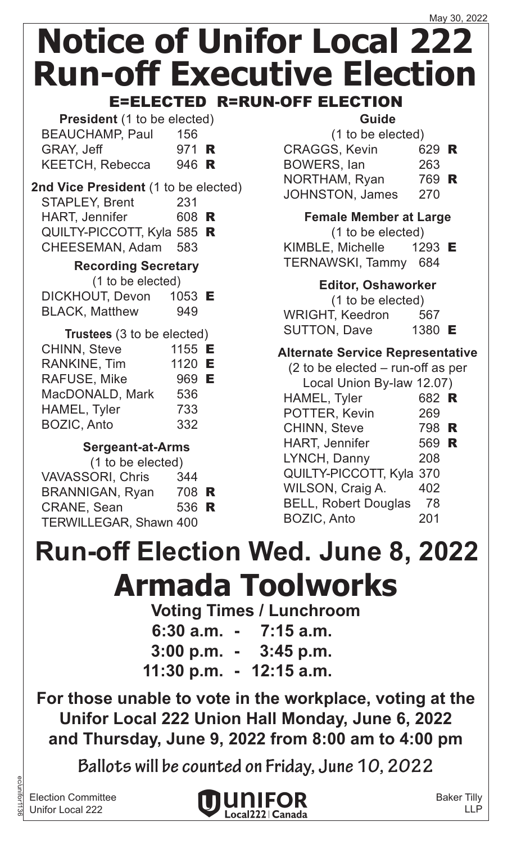| <b>President</b> (1 to be elected) |              |  |
|------------------------------------|--------------|--|
| <b>BEAUCHAMP, Paul</b>             | 156          |  |
| GRAY, Jeff                         | 971 <b>R</b> |  |
| <b>KEETCH, Rebecca</b>             | 946 R        |  |

### **2nd Vice President** (1 to be elected) STAPLEY, Brent 231

HART, Jennifer 608 R QUILTY-PICCOTT, Kyla 585 R CHEESEMAN, Adam 583

### **Recording Secretary**

- (1 to be elected)
- DICKHOUT, Devon 1053 E BLACK, Matthew 949

| Trustees (3 to be elected) |        |  |
|----------------------------|--------|--|
| <b>CHINN, Steve</b>        | 1155 E |  |
| <b>RANKINE, Tim</b>        | 1120 E |  |
| RAFUSE, Mike               | 969 E  |  |
| MacDONALD, Mark            | 536    |  |
| HAMEL, Tyler               | 733    |  |
| <b>BOZIC, Anto</b>         | 332    |  |

### **Sergeant-at-Arms**

|                               | (1 to be elected) |  |
|-------------------------------|-------------------|--|
| <b>VAVASSORI, Chris</b>       | 344               |  |
| <b>BRANNIGAN, Ryan</b>        | 708 R             |  |
| <b>CRANE, Sean</b>            | 536 R             |  |
| <b>TERWILLEGAR, Shawn 400</b> |                   |  |
|                               |                   |  |

### **Guide**

| (1 to be elected)      |       |  |
|------------------------|-------|--|
| <b>CRAGGS, Kevin</b>   | 629 R |  |
| <b>BOWERS, lan</b>     | 263   |  |
| NORTHAM, Ryan          | 769 R |  |
| <b>JOHNSTON, James</b> | 270   |  |
|                        |       |  |

**Female Member at Large**

(1 to be elected) KIMBLE, Michelle 1293 E

### TERNAWSKI, Tammy 684

### **Editor, Oshaworker**

(1 to be elected) WRIGHT, Keedron 567 SUTTON, Dave 1380 E

### **Alternate Service Representative**

| $(2)$ to be elected – run-off as per |       |  |
|--------------------------------------|-------|--|
| Local Union By-law 12.07)            |       |  |
| HAMEL, Tyler                         | 682 R |  |
| POTTER, Kevin                        | 269   |  |
| <b>CHINN, Steve</b>                  | 798 R |  |
| <b>HART, Jennifer</b>                | 569 R |  |
| LYNCH, Danny                         | 208   |  |
| QUILTY-PICCOTT, Kyla 370             |       |  |
| WILSON, Craig A.                     | 402   |  |
| <b>BELL, Robert Douglas</b>          | 78    |  |
| <b>BOZIC, Anto</b>                   | 201   |  |
|                                      |       |  |

## **Armada Toolworks Run-off Election Wed. June 8, 2022**

### **Voting Times / Lunchroom**

**6:30 a.m. - 7:15 a.m. 3:00 p.m. - 3:45 p.m. 11:30 p.m. - 12:15 a.m.**

**For those unable to vote in the workplace, voting at the Unifor Local 222 Union Hall Monday, June 6, 2022 and Thursday, June 9, 2022 from 8:00 am to 4:00 pm**

**Ballots will be counted on Friday, June 10, 2022**

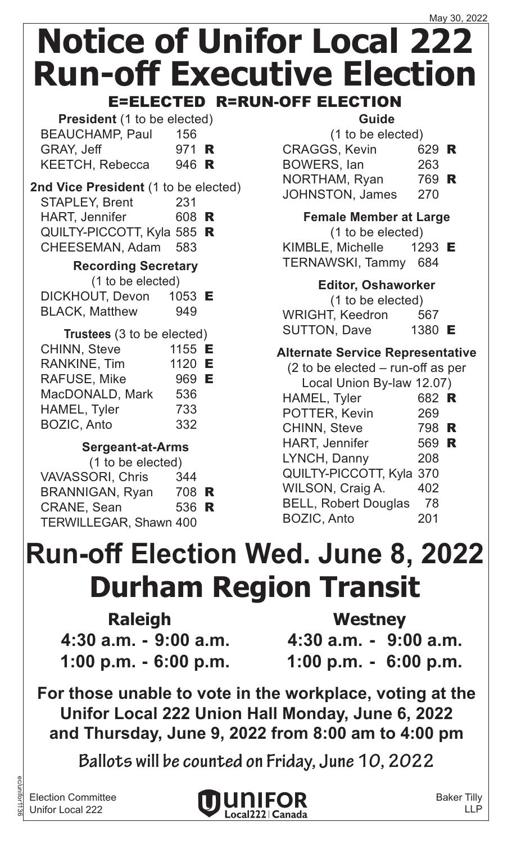**President** (1 to be elected) BEAUCHAMP, Paul 156 GRAY, Jeff 971 **R** KEETCH, Rebecca 946 R

### **2nd Vice President** (1 to be elected) STAPLEY, Brent 231

| <b>HART, Jennifer</b>      | 608 R |  |
|----------------------------|-------|--|
| QUILTY-PICCOTT, Kyla 585 R |       |  |
| CHEESEMAN, Adam 583        |       |  |

### **Recording Secretary**

|  |  | (1 to be elected) |
|--|--|-------------------|

| DICKHOUT, Devon       | 1053 $E$ |
|-----------------------|----------|
| <b>BLACK, Matthew</b> | 949      |

| 536 |                                                         |
|-----|---------------------------------------------------------|
| 733 |                                                         |
| 332 |                                                         |
|     | Trustees (3 to be elected)<br>1155 E<br>1120 E<br>969 E |

### **Sergeant-at-Arms**

| (1 to be elected)             |       |  |
|-------------------------------|-------|--|
| <b>VAVASSORI, Chris</b>       | 344   |  |
| <b>BRANNIGAN, Ryan</b>        | 708 R |  |
| <b>CRANE, Sean</b>            | 536 R |  |
| <b>TERWILLEGAR, Shawn 400</b> |       |  |
|                               |       |  |

### **Guide**

| (1 to be elected)      |       |  |
|------------------------|-------|--|
| <b>CRAGGS, Kevin</b>   | 629 R |  |
| <b>BOWERS, lan</b>     | 263   |  |
| NORTHAM, Ryan          | 769 R |  |
| <b>JOHNSTON, James</b> | 270   |  |
|                        |       |  |

**Female Member at Large** (1 to be elected) KIMBLE, Michelle 1293 E TERNAWSKI, Tammy 684

### **Editor, Oshaworker**

(1 to be elected) WRIGHT, Keedron 567 SUTTON, Dave 1380 E

### **Alternate Service Representative**

| $(2)$ to be elected – run-off as per |       |  |
|--------------------------------------|-------|--|
| Local Union By-law 12.07)            |       |  |
| HAMEL, Tyler                         | 682 R |  |
| POTTER, Kevin                        | 269   |  |
| <b>CHINN, Steve</b>                  | 798 R |  |
| <b>HART, Jennifer</b>                | 569 R |  |
| LYNCH, Danny                         | 208   |  |
| QUILTY-PICCOTT, Kyla 370             |       |  |
| WILSON, Craig A.                     | 402   |  |
| <b>BELL, Robert Douglas</b>          | 78    |  |
| <b>BOZIC, Anto</b>                   | 201   |  |
|                                      |       |  |

# **Durham Region Transit Run-off Election Wed. June 8, 2022**

| <b>Raleigh</b>           |  |  |  |
|--------------------------|--|--|--|
| $4:30$ a.m. - 9:00 a.m.  |  |  |  |
| $1:00$ p.m. $-6:00$ p.m. |  |  |  |

**Raleigh Westney**

**4:30 a.m. - 9:00 a.m. 4:30 a.m. - 9:00 a.m. 1:00 p.m. - 6:00 p.m. 1:00 p.m. - 6:00 p.m.**

**For those unable to vote in the workplace, voting at the Unifor Local 222 Union Hall Monday, June 6, 2022 and Thursday, June 9, 2022 from 8:00 am to 4:00 pm**

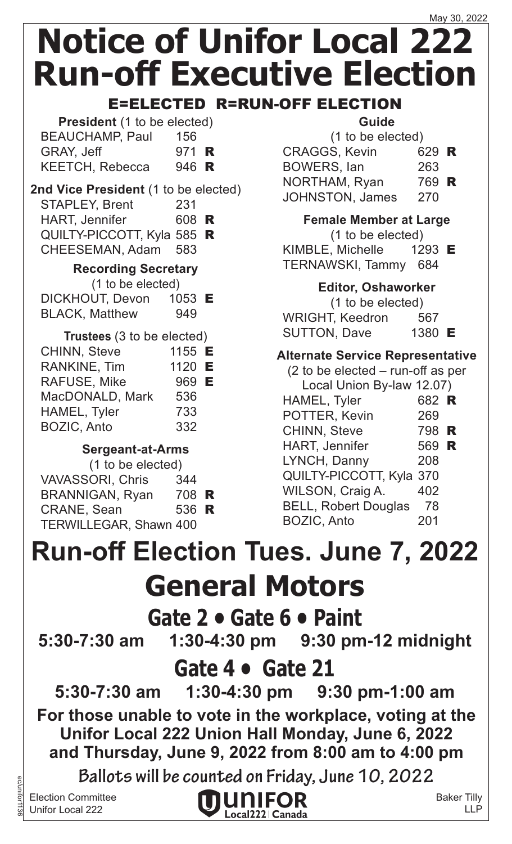### E=ELECTED R=RUN-OFF ELECTION

| <b>President</b> (1 to be elected) |              |  |
|------------------------------------|--------------|--|
| <b>BEAUCHAMP, Paul</b>             | 156          |  |
| GRAY, Jeff                         | 971 <b>R</b> |  |
| <b>KEETCH, Rebecca</b>             | 946 R        |  |

### **2nd Vice President** (1 to be elected)

| 231 |                     |                                     |
|-----|---------------------|-------------------------------------|
|     |                     |                                     |
|     |                     |                                     |
|     |                     |                                     |
|     | CHEESEMAN, Adam 583 | 608 R<br>QUILTY-PICCOTT, Kyla 585 R |

#### **Recording Secretary**

(1 to be elected)

| DICKHOUT, Devon       | 1053 $E$ |
|-----------------------|----------|
| <b>BLACK, Matthew</b> | 949      |

| Trustees (3 to be elected) |        |  |
|----------------------------|--------|--|
| <b>CHINN, Steve</b>        | 1155 E |  |
| <b>RANKINE, Tim</b>        | 1120 E |  |
| RAFUSE, Mike               | 969 E  |  |
| MacDONALD, Mark            | 536    |  |
| HAMEL, Tyler               | 733    |  |
| <b>BOZIC, Anto</b>         | 332    |  |

### **Sergeant-at-Arms**

| (1 to be elected)             |       |  |
|-------------------------------|-------|--|
| <b>VAVASSORI, Chris</b>       | 344   |  |
| <b>BRANNIGAN, Ryan</b>        | 708 R |  |
| <b>CRANE, Sean</b>            | 536 R |  |
| <b>TERWILLEGAR, Shawn 400</b> |       |  |

### **Guide**

| (1 to be elected) |                        |       |  |
|-------------------|------------------------|-------|--|
|                   | <b>CRAGGS, Kevin</b>   | 629 R |  |
|                   | <b>BOWERS, lan</b>     | 263   |  |
|                   | NORTHAM, Ryan          | 769 R |  |
|                   | <b>JOHNSTON, James</b> | 270   |  |
|                   |                        |       |  |

**Female Member at Large**

(1 to be elected)

KIMBLE, Michelle  $1293$  E TERNAWSKI, Tammy 684

### **Editor, Oshaworker**

(1 to be elected) WRIGHT, Keedron 567 SUTTON, Dave 1380 E

### **Alternate Service Representative**

| $(2)$ to be elected – run-off as per |       |  |
|--------------------------------------|-------|--|
| Local Union By-law 12.07)            |       |  |
| HAMEL, Tyler                         | 682 R |  |
| POTTER, Kevin                        | 269   |  |
| <b>CHINN, Steve</b>                  | 798 R |  |
| <b>HART, Jennifer</b>                | 569 R |  |
| LYNCH, Danny                         | 208   |  |
| QUILTY-PICCOTT, Kyla 370             |       |  |
| WILSON, Craig A.                     | 402   |  |
| <b>BELL, Robert Douglas</b>          | 78    |  |
| <b>BOZIC, Anto</b>                   | 201   |  |
|                                      |       |  |

# **Run-off Election Tues. June 7, 2022**

### **General Motors**

### **Gate 2 • Gate 6 • Paint**

**5:30-7:30 am 1:30-4:30 pm 9:30 pm-12 midnight**

### **Gate 4 • Gate 21**

**5:30-7:30 am 1:30-4:30 pm 9:30 pm-1:00 am For those unable to vote in the workplace, voting at the**

**Unifor Local 222 Union Hall Monday, June 6, 2022 and Thursday, June 9, 2022 from 8:00 am to 4:00 pm**

**Ballots will be counted on Friday, June 10, 2022**

Election Committee Unifor Local 222

ec/unifor1136



Baker Tilly LLP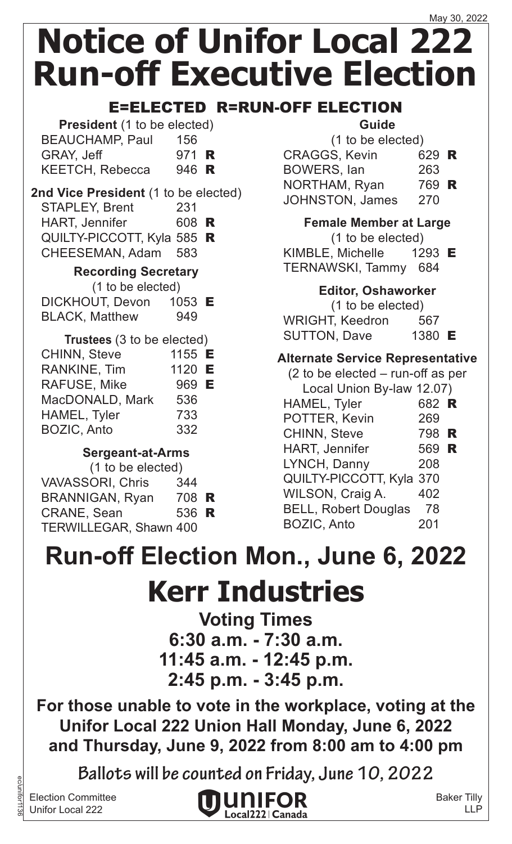### May 30, 2022 **Notice of Unifor Local 222 Run-off Executive Election**

### E=ELECTED R=RUN-OFF ELECTION

| <b>President</b> (1 to be elected) |              |  |
|------------------------------------|--------------|--|
| <b>BEAUCHAMP, Paul</b>             | 156          |  |
| GRAY, Jeff                         | 971 <b>R</b> |  |
| <b>KEETCH, Rebecca</b>             | 946 R        |  |

### **2nd Vice President** (1 to be elected)

| <b>Recording Secretary</b> |       |  |
|----------------------------|-------|--|
| CHEESEMAN, Adam 583        |       |  |
| QUILTY-PICCOTT, Kyla 585 R |       |  |
| <b>HART, Jennifer</b>      | 608 R |  |
| <b>STAPLEY, Brent</b>      | 231   |  |

(1 to be elected)

| DICKHOUT, Devon       | 1053 <b>E</b> |  |
|-----------------------|---------------|--|
| <b>BLACK, Matthew</b> | 949           |  |

| Trustees (3 to be elected) |        |  |
|----------------------------|--------|--|
| <b>CHINN, Steve</b>        | 1155 E |  |
| <b>RANKINE, Tim</b>        | 1120 E |  |
| <b>RAFUSE, Mike</b>        | 969 E  |  |
| MacDONALD, Mark            | 536    |  |
| HAMEL, Tyler               | 733    |  |
| <b>BOZIC, Anto</b>         | 332    |  |

### **Sergeant-at-Arms**

| (1 to be elected)             |       |  |
|-------------------------------|-------|--|
| <b>VAVASSORI, Chris</b>       | 344   |  |
| <b>BRANNIGAN, Ryan</b>        | 708 R |  |
| <b>CRANE, Sean</b>            | 536 R |  |
| <b>TERWILLEGAR, Shawn 400</b> |       |  |
|                               |       |  |

### **Guide**

| (1 to be elected)    |                      |  |
|----------------------|----------------------|--|
| <b>CRAGGS, Kevin</b> | 629 R                |  |
| BOWERS, Ian          | 263                  |  |
| $\blacksquare$       | $\neg \wedge \wedge$ |  |

NORTHAM, Ryan 769 **R** JOHNSTON, James 270

**Female Member at Large**

(1 to be elected)

KIMBLE, Michelle 1293 E TERNAWSKI, Tammy 684

### **Editor, Oshaworker**

(1 to be elected) WRIGHT, Keedron 567 SUTTON, Dave 1380 E

### **Alternate Service Representative**

| $(2)$ to be elected – run-off as per |       |   |
|--------------------------------------|-------|---|
| Local Union By-law 12.07)            |       |   |
| HAMEL, Tyler                         | 682 R |   |
| POTTER, Kevin                        | 269   |   |
| <b>CHINN, Steve</b>                  | 798   | R |
| <b>HART, Jennifer</b>                | 569 R |   |
| LYNCH, Danny                         | 208   |   |
| QUILTY-PICCOTT, Kyla 370             |       |   |
| WILSON, Craig A.                     | 402   |   |
| <b>BELL, Robert Douglas</b>          | 78    |   |
| <b>BOZIC, Anto</b>                   | 201   |   |
|                                      |       |   |

## **Run-off Election Mon., June 6, 2022**

## **Kerr Industries**

**Voting Times 6:30 a.m. - 7:30 a.m. 11:45 a.m. - 12:45 p.m. 2:45 p.m. - 3:45 p.m.**

**For those unable to vote in the workplace, voting at the Unifor Local 222 Union Hall Monday, June 6, 2022 and Thursday, June 9, 2022 from 8:00 am to 4:00 pm**

**Ballots will be counted on Friday, June 10, 2022**

Election Committee Unifor Local 222

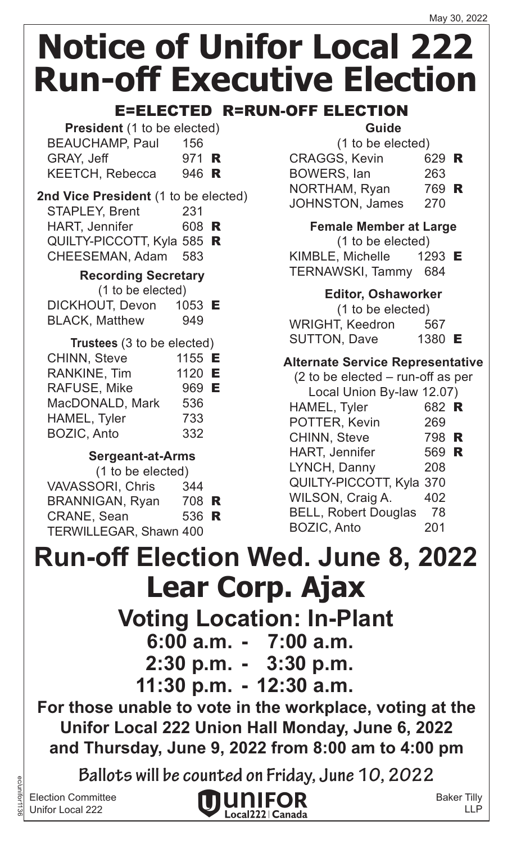E=ELECTED R=RUN-OFF ELECTION

| <b>President</b> (1 to be elected) |              |  |
|------------------------------------|--------------|--|
| <b>BEAUCHAMP, Paul</b>             | 156          |  |
| <b>GRAY, Jeff</b>                  | 971 <b>R</b> |  |
| <b>KEETCH, Rebecca</b>             | 946 R        |  |

#### **2nd Vice President** (1 to be elected) STAPLEY, Brent 231  $HAPT, Iem.$

| <b>HART, Jennifer</b>      | <b>bus R</b> |  |
|----------------------------|--------------|--|
| QUILTY-PICCOTT, Kyla 585 R |              |  |
| CHEESEMAN, Adam 583        |              |  |

### **Recording Secretary**

(1 to be elected)

| DICKHOUT, Devon       | 1053 $E$ |
|-----------------------|----------|
| <b>BLACK, Matthew</b> | 949      |

| Trustees (3 to be elected) |        |  |
|----------------------------|--------|--|
| <b>CHINN, Steve</b>        | 1155 E |  |
| <b>RANKINE, Tim</b>        | 1120 E |  |
| RAFUSE, Mike               | 969 E  |  |
| MacDONALD, Mark            | 536    |  |
| HAMEL, Tyler               | 733    |  |
| <b>BOZIC, Anto</b>         | 332    |  |

### **Sergeant-at-Arms**

| (1 to be elected)             |       |  |
|-------------------------------|-------|--|
| <b>VAVASSORI, Chris</b>       | 344   |  |
| <b>BRANNIGAN, Ryan</b>        | 708 R |  |
| <b>CRANE, Sean</b>            | 536 R |  |
| <b>TERWILLEGAR, Shawn 400</b> |       |  |

### **Guide**

| (1 to be elected)      |       |  |
|------------------------|-------|--|
| <b>CRAGGS, Kevin</b>   | 629 R |  |
| <b>BOWERS, lan</b>     | 263   |  |
| NORTHAM, Ryan          | 769 R |  |
| <b>JOHNSTON, James</b> | 270   |  |

**Female Member at Large**

(1 to be elected)

KIMBLE, Michelle 1293 E TERNAWSKI, Tammy 684

### **Editor, Oshaworker**

| (1 to be elected)      |        |
|------------------------|--------|
| <b>WRIGHT, Keedron</b> | 567    |
| <b>SUTTON, Dave</b>    | 1380 E |

### **Alternate Service Representative**

| (2 to be elected – run-off as per |       |  |
|-----------------------------------|-------|--|
| Local Union By-law 12.07)         |       |  |
| HAMEL, Tyler                      | 682 R |  |
| POTTER, Kevin                     | 269   |  |
| <b>CHINN, Steve</b>               | 798 R |  |
| <b>HART, Jennifer</b>             | 569 R |  |
| LYNCH, Danny                      | 208   |  |
| QUILTY-PICCOTT, Kyla 370          |       |  |
| WILSON, Craig A.                  | 402   |  |
| <b>BELL, Robert Douglas</b>       | 78    |  |
| <b>BOZIC, Anto</b>                | 201   |  |
|                                   |       |  |

## **Lear Corp. Ajax Voting Location: In-Plant Run-off Election Wed. June 8, 2022**

**6:00 a.m. - 7:00 a.m.**

**2:30 p.m. - 3:30 p.m.**

**11:30 p.m. - 12:30 a.m.**

**For those unable to vote in the workplace, voting at the Unifor Local 222 Union Hall Monday, June 6, 2022 and Thursday, June 9, 2022 from 8:00 am to 4:00 pm**

**Ballots will be counted on Friday, June 10, 2022**

Election Committee Unifor Local 222

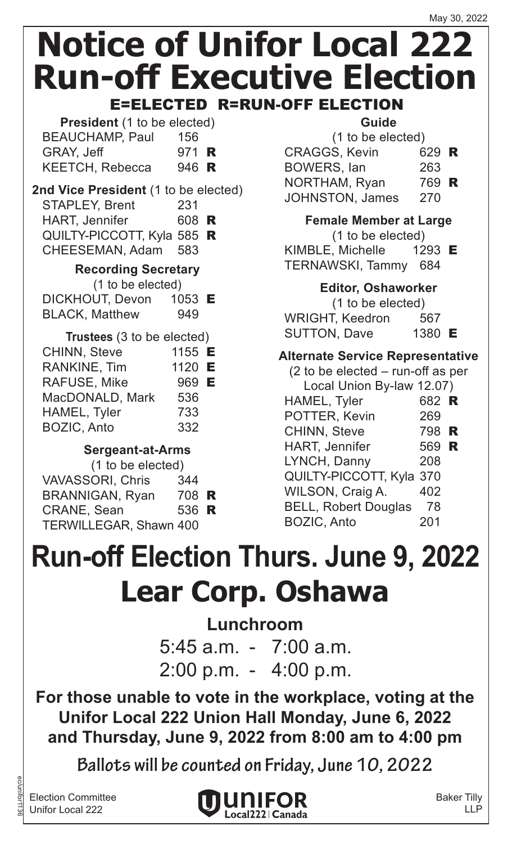| <b>President</b> (1 to be elected) |              |  |
|------------------------------------|--------------|--|
| <b>BEAUCHAMP, Paul</b>             | 156          |  |
| GRAY, Jeff                         | 971 <b>R</b> |  |
| <b>KEETCH, Rebecca</b>             | 946 R        |  |

#### **2nd Vice President** (1 to be elected) STAPI FY Brent 231

|                                    | ---   |  |
|------------------------------------|-------|--|
| <b>HART, Jennifer</b>              | 608 R |  |
| ALIII TV DICCATT Kulo 585 <b>D</b> |       |  |

QUILTY-PICCOTT, Kyla 585 R CHEESEMAN, Adam 583

### **Recording Secretary**

(1 to be elected)

| DICKHOUT, Devon       | 1053 <b>E</b> |
|-----------------------|---------------|
| <b>BLACK, Matthew</b> | 949           |

| Trustees (3 to be elected) |        |  |
|----------------------------|--------|--|
| <b>CHINN, Steve</b>        | 1155 E |  |
| <b>RANKINE, Tim</b>        | 1120 E |  |
| <b>RAFUSE, Mike</b>        | 969 E  |  |
| MacDONALD, Mark            | 536    |  |
| HAMEL, Tyler               | 733    |  |
| <b>BOZIC, Anto</b>         | 332    |  |

### **Sergeant-at-Arms**

| (1 to be elected)             |       |  |
|-------------------------------|-------|--|
| <b>VAVASSORI, Chris</b>       | 344   |  |
| <b>BRANNIGAN, Ryan</b>        | 708 R |  |
| <b>CRANE, Sean</b>            | 536 R |  |
| <b>TERWILLEGAR, Shawn 400</b> |       |  |

### **Guide**

| (1 to be elected)      |       |  |
|------------------------|-------|--|
| <b>CRAGGS, Kevin</b>   | 629 R |  |
| BOWERS, lan            | 263   |  |
| NORTHAM, Ryan          | 769 R |  |
| <b>JOHNSTON, James</b> | 270   |  |
|                        |       |  |

**Female Member at Large**

(1 to be elected)

KIMBLE, Michelle  $1293$  E TERNAWSKI, Tammy 684

### **Editor, Oshaworker**

(1 to be elected) WRIGHT, Keedron 567 SUTTON, Dave 1380 E

### **Alternate Service Representative**

| $(2)$ to be elected – run-off as per |       |  |
|--------------------------------------|-------|--|
| Local Union By-law 12.07)            |       |  |
| <b>HAMEL, Tyler</b>                  | 682 R |  |
| POTTER, Kevin                        | 269   |  |
| <b>CHINN, Steve</b>                  | 798 R |  |
| <b>HART, Jennifer</b>                | 569 R |  |
| LYNCH, Danny                         | 208   |  |
| QUILTY-PICCOTT, Kyla 370             |       |  |
| WILSON, Craig A.                     | 402   |  |
| <b>BELL, Robert Douglas</b>          | 78    |  |
| <b>BOZIC, Anto</b>                   | 201   |  |
|                                      |       |  |

## **Lear Corp. Oshawa Run-off Election Thurs. June 9, 2022**

**Lunchroom**  $5:45$  a.m.  $-7:00$  a.m.  $2:00$  p.m.  $-$  4:00 p.m.

**For those unable to vote in the workplace, voting at the Unifor Local 222 Union Hall Monday, June 6, 2022 and Thursday, June 9, 2022 from 8:00 am to 4:00 pm**

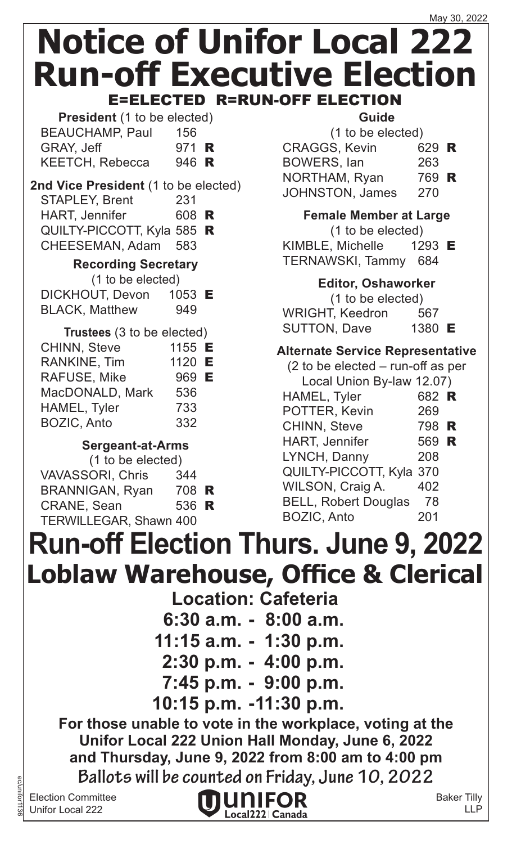**President** (1 to be elected) BEAUCHAMP, Paul 156 GRAY, Jeff 971 **R** KEETCH, Rebecca 946 R

### **2nd Vice President** (1 to be elected) STAPLEY, Brent 231

| <b>HART, Jennifer</b>      | 608 R |  |
|----------------------------|-------|--|
| QUILTY-PICCOTT, Kyla 585 R |       |  |
| CHEESEMAN, Adam 583        |       |  |

### **Recording Secretary**

| (1 to be elected)     |          |
|-----------------------|----------|
| DICKHOUT, Devon       | 1053 $E$ |
| <b>BLACK, Matthew</b> | 949      |

| Trustees (3 to be elected)<br>1155 E<br>1120 E<br>969 E<br>536<br>733<br>332 |
|------------------------------------------------------------------------------|

### **Sergeant-at-Arms**

| (1 to be elected) |                         |       |  |
|-------------------|-------------------------|-------|--|
|                   | <b>VAVASSORI, Chris</b> | 344   |  |
|                   | <b>BRANNIGAN, Ryan</b>  | 708 R |  |
|                   | <b>CRANE, Sean</b>      | 536 R |  |
|                   | TERWILLEGAR, Shawn 400  |       |  |
|                   |                         |       |  |

### **Guide**

|     | (1 to be elected)             |
|-----|-------------------------------|
|     | <b>CRAGGS, Kevin</b><br>629 R |
| 263 | <b>BOWERS, lan</b>            |
|     | NORTHAM, Ryan<br>769 R        |
| 270 | <b>JOHNSTON, James</b>        |
|     |                               |

**Female Member at Large** (1 to be elected) KIMBLE, Michelle  $1293$  E TERNAWSKI, Tammy 684

### **Editor, Oshaworker**

(1 to be elected) WRIGHT, Keedron 567 SUTTON, Dave 1380 E

### **Alternate Service Representative**

(2 to be elected – run-off as per Local Union By-law 12.07)

| Local Union By-law 12.07)   |       |   |
|-----------------------------|-------|---|
| HAMEL, Tyler                | 682 R |   |
| POTTER, Kevin               | 269   |   |
| CHINN, Steve                | 798   | R |
| <b>HART, Jennifer</b>       | 569   | R |
| LYNCH, Danny                | 208   |   |
| QUILTY-PICCOTT, Kyla 370    |       |   |
| WILSON, Craig A.            | 402   |   |
| <b>BELL, Robert Douglas</b> | 78    |   |
| <b>BOZIC, Anto</b>          | 201   |   |
|                             |       |   |

### **Loblaw Warehouse, Office & Clerical Location: Cafeteria 6:30 a.m. - 8:00 a.m. 11:15 a.m. - 1:30 p.m. 2:30 p.m. - 4:00 p.m. 7:45 p.m. - 9:00 p.m. 10:15 p.m. -11:30 p.m. Run-off Election Thurs. June 9, 2022 For those unable to vote in the workplace, voting at the Unifor Local 222 Union Hall Monday, June 6, 2022 and Thursday, June 9, 2022 from 8:00 am to 4:00 pm Ballots will be counted on Friday, June 10, 2022**

Election Committee Unifor Local 222

ec/unifor1136

IUMIEOR Local222 | Canada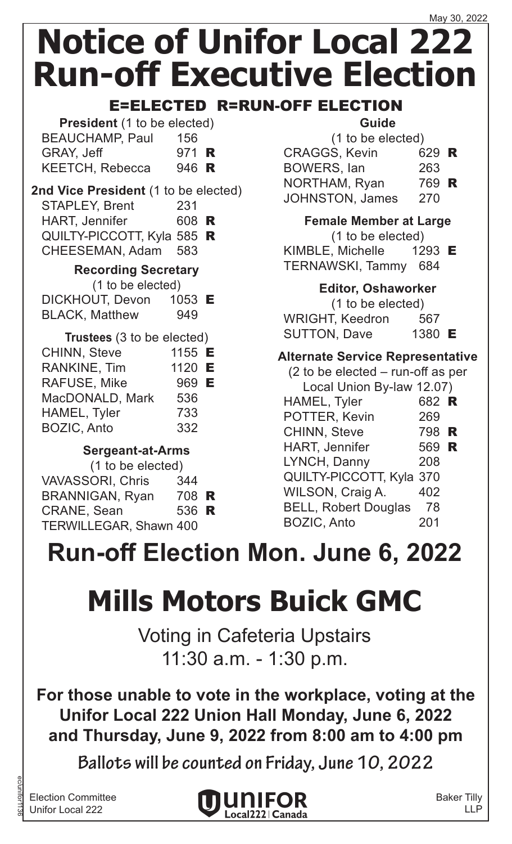### E=ELECTED R=RUN-OFF ELECTION

| <b>President</b> (1 to be elected) |              |  |
|------------------------------------|--------------|--|
| <b>BEAUCHAMP, Paul</b>             | 156          |  |
| GRAY, Jeff                         | 971 <b>R</b> |  |
| <b>KEETCH, Rebecca</b>             | 946 R        |  |

### **2nd Vice President** (1 to be elected) STAPLEY, Brent 231

| <b>HART, Jennifer</b>      | 608 R |  |
|----------------------------|-------|--|
| QUILTY-PICCOTT, Kyla 585 R |       |  |
| CHEESEMAN, Adam 583        |       |  |

### **Recording Secretary**

(1 to be elected)

| DICKHOUT, Devon       | 1053 $E$ |
|-----------------------|----------|
| <b>BLACK, Matthew</b> | 949      |

| Trustees (3 to be elected) |        |  |
|----------------------------|--------|--|
| <b>CHINN, Steve</b>        | 1155 E |  |
| <b>RANKINE, Tim</b>        | 1120 E |  |
| RAFUSE, Mike               | 969 E  |  |
| MacDONALD, Mark            | 536    |  |
| HAMEL, Tyler               | 733    |  |
| <b>BOZIC, Anto</b>         | 332    |  |

### **Sergeant-at-Arms**

| (1 to be elected)             |                |
|-------------------------------|----------------|
| 344                           |                |
|                               |                |
|                               |                |
| <b>TERWILLEGAR, Shawn 400</b> |                |
|                               | 708 R<br>536 R |

### **Guide**

| (1 to be elected)      |       |  |
|------------------------|-------|--|
| <b>CRAGGS, Kevin</b>   | 629 R |  |
| BOWERS, lan            | 263   |  |
| NORTHAM, Ryan          | 769 R |  |
| <b>JOHNSTON, James</b> | 270   |  |

**Female Member at Large**

(1 to be elected)

KIMBLE, Michelle  $1293$  E TERNAWSKI, Tammy 684

### **Editor, Oshaworker**

(1 to be elected) WRIGHT, Keedron 567 SUTTON, Dave 1380 E

### **Alternate Service Representative**

| $(2)$ to be elected – run-off as per |       |   |
|--------------------------------------|-------|---|
| Local Union By-law 12.07)            |       |   |
| HAMEL, Tyler                         | 682 R |   |
| POTTER, Kevin                        | 269   |   |
| <b>CHINN, Steve</b>                  | 798   | R |
| <b>HART, Jennifer</b>                | 569 R |   |
| LYNCH, Danny                         | 208   |   |
| QUILTY-PICCOTT, Kyla 370             |       |   |
| WILSON, Craig A.                     | 402   |   |
| <b>BELL, Robert Douglas</b>          | 78    |   |
| <b>BOZIC, Anto</b>                   | 201   |   |
|                                      |       |   |

## **Run-off Election Mon. June 6, 2022**

## **Mills Motors Buick GMC**

 Voting in Cafeteria Upstairs 11:30 a.m. - 1:30 p.m.

**For those unable to vote in the workplace, voting at the Unifor Local 222 Union Hall Monday, June 6, 2022 and Thursday, June 9, 2022 from 8:00 am to 4:00 pm**

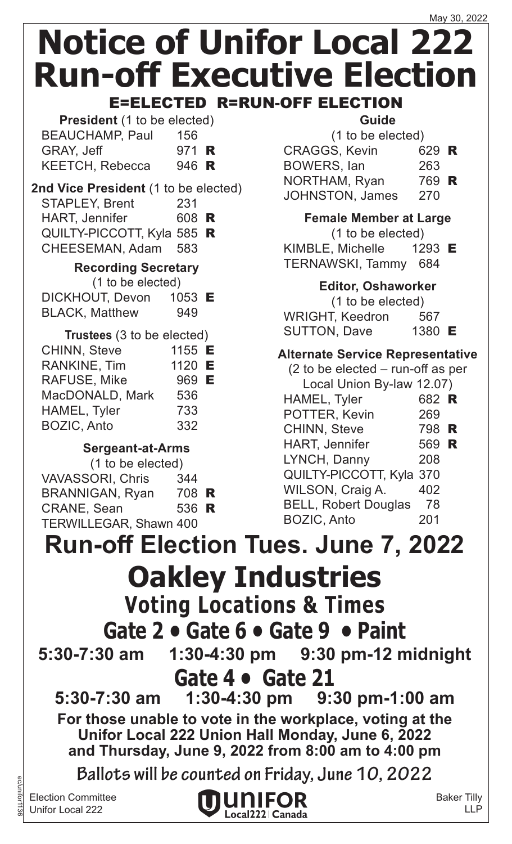| <b>President</b> (1 to be elected) |              |  |
|------------------------------------|--------------|--|
| <b>BEAUCHAMP, Paul</b>             | 156          |  |
| GRAY, Jeff                         | 971 <b>R</b> |  |
| <b>KEETCH, Rebecca</b>             | 946 R        |  |

#### **2nd Vice President** (1 to be elected) STAPLEY, Brent 231 HART, Jennifer 608 R

QUILTY-PICCOTT, Kyla 585 R CHEESEMAN, Adam 583

### **Recording Secretary**

(1 to be elected)

| DICKHOUT, Devon       | 1053 <b>E</b> |
|-----------------------|---------------|
| <b>BLACK, Matthew</b> | 949           |

| Trustees (3 to be elected) |        |  |
|----------------------------|--------|--|
| <b>CHINN, Steve</b>        | 1155 E |  |
| <b>RANKINE, Tim</b>        | 1120 E |  |
| RAFUSE, Mike               | 969 E  |  |
| MacDONALD, Mark            | 536    |  |
| HAMEL, Tyler               | 733    |  |
| <b>BOZIC, Anto</b>         | 332    |  |

### **Sergeant-at-Arms**

| (1 to be elected)       |       |  |
|-------------------------|-------|--|
| <b>VAVASSORI, Chris</b> | 344   |  |
| <b>BRANNIGAN, Ryan</b>  | 708 R |  |
| <b>CRANE, Sean</b>      | 536 R |  |
| TERWILLEGAR, Shawn 400  |       |  |
|                         |       |  |

### **Guide**

| (1 to be elected) |                        |       |  |
|-------------------|------------------------|-------|--|
|                   | <b>CRAGGS, Kevin</b>   | 629 R |  |
|                   | <b>BOWERS, lan</b>     | 263   |  |
|                   | NORTHAM, Ryan          | 769 R |  |
|                   | <b>JOHNSTON, James</b> | 270   |  |
|                   |                        |       |  |

**Female Member at Large**

(1 to be elected)

KIMBLE, Michelle 1293 E TERNAWSKI, Tammy 684

### **Editor, Oshaworker**

(1 to be elected) WRIGHT, Keedron 567 SUTTON, Dave 1380 E

### **Alternate Service Representative**

| (2 to be elected – run-off as per |       |  |
|-----------------------------------|-------|--|
| Local Union By-law 12.07)         |       |  |
| HAMEL, Tyler                      | 682 R |  |
| POTTER, Kevin                     | 269   |  |
| <b>CHINN, Steve</b>               | 798 R |  |
| <b>HART, Jennifer</b>             | 569 R |  |
| LYNCH, Danny                      | 208   |  |
| QUILTY-PICCOTT, Kyla 370          |       |  |
| WILSON, Craig A.                  | 402   |  |
| <b>BELL, Robert Douglas</b>       | 78    |  |
| <b>BOZIC, Anto</b>                | 201   |  |
|                                   |       |  |

**Oakley Industries Voting Locations & Times Gate 2 • Gate 6 • Gate 9 • Paint 5:30-7:30 am 1:30-4:30 pm 9:30 pm-12 midnight Gate 4 • Gate 21 5:30-7:30 am 1:30-4:30 pm 9:30 pm-1:00 am Run-off Election Tues. June 7, 2022 For those unable to vote in the workplace, voting at the Unifor Local 222 Union Hall Monday, June 6, 2022 and Thursday, June 9, 2022 from 8:00 am to 4:00 pm**

**Ballots will be counted on Friday, June 10, 2022**

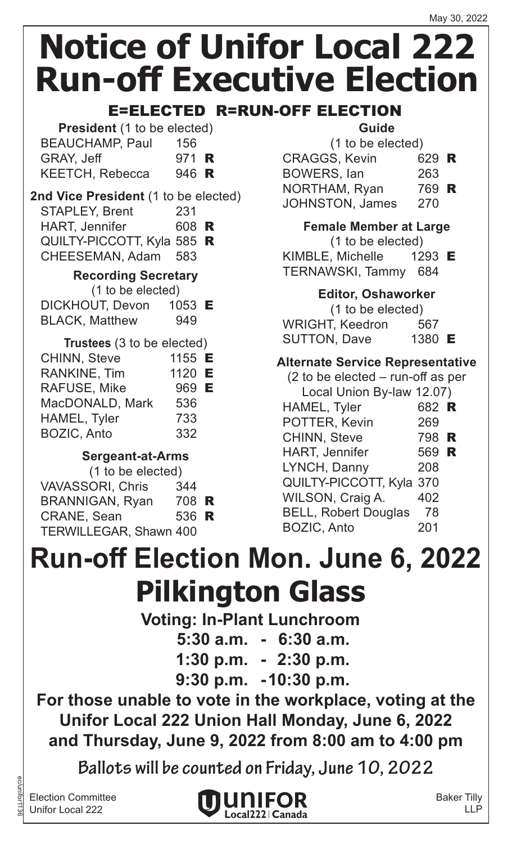### E=ELECTED R=RUN-OFF ELECTION

| <b>President</b> (1 to be elected) |       |  |
|------------------------------------|-------|--|
| <b>BEAUCHAMP, Paul</b>             | 156   |  |
| GRAY, Jeff                         | 971 R |  |
| <b>KEETCH, Rebecca</b>             | 946 R |  |

### **2nd Vice President** (1 to be elected)

| <b>STAPLEY, Brent</b>      | 231   |  |
|----------------------------|-------|--|
| <b>HART, Jennifer</b>      | 608 R |  |
| QUILTY-PICCOTT, Kyla 585 R |       |  |
| CHEESEMAN, Adam 583        |       |  |
| — "A                       |       |  |

#### **Recording Secretary**

(1 to be elected)

| DICKHOUT, Devon       | 1053 $E$ |
|-----------------------|----------|
| <b>BLACK, Matthew</b> | 949      |

| Trustees (3 to be elected) |        |  |
|----------------------------|--------|--|
| <b>CHINN, Steve</b>        | 1155 E |  |
| <b>RANKINE, Tim</b>        | 1120 E |  |
| <b>RAFUSE, Mike</b>        | 969 E  |  |
| MacDONALD, Mark            | 536    |  |
| HAMEL, Tyler               | 733    |  |
| <b>BOZIC, Anto</b>         | 332    |  |

### **Sergeant-at-Arms**

| (1 to be elected)             |       |  |
|-------------------------------|-------|--|
| <b>VAVASSORI, Chris</b>       | 344   |  |
| <b>BRANNIGAN, Ryan</b>        | 708 R |  |
| <b>CRANE, Sean</b>            | 536 R |  |
| <b>TERWILLEGAR, Shawn 400</b> |       |  |

### **Guide**

| (1 to be elected) |                        |       |  |
|-------------------|------------------------|-------|--|
|                   | <b>CRAGGS, Kevin</b>   | 629 R |  |
|                   | <b>BOWERS, lan</b>     | 263   |  |
|                   | NORTHAM, Ryan          | 769 R |  |
|                   | <b>JOHNSTON, James</b> | 270   |  |
|                   |                        |       |  |

**Female Member at Large**

(1 to be elected)

KIMBLE, Michelle 1293 E TERNAWSKI, Tammy 684

### **Editor, Oshaworker**

(1 to be elected) WRIGHT, Keedron 567 SUTTON, Dave 1380 E

### **Alternate Service Representative**

| $(2)$ to be elected – run-off as per |       |  |
|--------------------------------------|-------|--|
| Local Union By-law 12.07)            |       |  |
| HAMEL, Tyler                         | 682 R |  |
| POTTER, Kevin                        | 269   |  |
| <b>CHINN, Steve</b>                  | 798 R |  |
| <b>HART, Jennifer</b>                | 569 R |  |
| LYNCH, Danny                         | 208   |  |
| QUILTY-PICCOTT, Kyla 370             |       |  |
| WILSON, Craig A.                     | 402   |  |
| <b>BELL, Robert Douglas</b>          | 78    |  |
| <b>BOZIC, Anto</b>                   | 201   |  |
|                                      |       |  |

## **Pilkington Glass Run-off Election Mon. June 6, 2022**

**Voting: In-Plant Lunchroom**

**5:30 a.m. - 6:30 a.m.**

**1:30 p.m. - 2:30 p.m.**

**9:30 p.m. -10:30 p.m.**

**For those unable to vote in the workplace, voting at the Unifor Local 222 Union Hall Monday, June 6, 2022 and Thursday, June 9, 2022 from 8:00 am to 4:00 pm**

**Ballots will be counted on Friday, June 10, 2022**

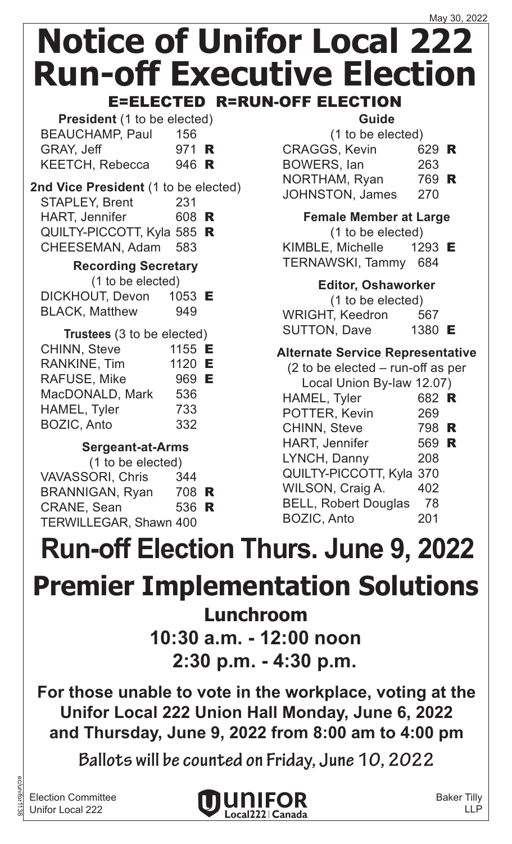**President** (1 to be elected) BEAUCHAMP, Paul 156 GRAY, Jeff 971 **R** KEETCH, Rebecca 946 R

### **2nd Vice President** (1 to be elected) STAPLEY, Brent 231

| <b>HART, Jennifer</b>      | 608 R |  |
|----------------------------|-------|--|
| QUILTY-PICCOTT, Kyla 585 R |       |  |
| CHEESEMAN, Adam 583        |       |  |

### **Recording Secretary**

(1 to be elected)

| DICKHOUT, Devon       | 1053 $E$ |
|-----------------------|----------|
| <b>BLACK, Matthew</b> | 949      |

| Trustees (3 to be elected) |        |  |
|----------------------------|--------|--|
| <b>CHINN, Steve</b>        | 1155 E |  |
| <b>RANKINE, Tim</b>        | 1120 E |  |
| <b>RAFUSE, Mike</b>        | 969 E  |  |
| MacDONALD, Mark            | 536    |  |
| HAMEL, Tyler               | 733    |  |
| <b>BOZIC, Anto</b>         | 332    |  |

### **Sergeant-at-Arms**

| (1 to be elected) |                                                 |
|-------------------|-------------------------------------------------|
| 344               |                                                 |
|                   |                                                 |
|                   |                                                 |
|                   |                                                 |
|                   | 708 R<br>536 R<br><b>TERWILLEGAR, Shawn 400</b> |

### **Guide**

| (1 to be elected)      |       |  |
|------------------------|-------|--|
| <b>CRAGGS, Kevin</b>   | 629 R |  |
| <b>BOWERS, lan</b>     | 263   |  |
| NORTHAM, Ryan          | 769 R |  |
| <b>JOHNSTON, James</b> | 270   |  |
|                        |       |  |

**Female Member at Large** (1 to be elected) KIMBLE, Michelle 1293 E TERNAWSKI, Tammy 684

### **Editor, Oshaworker**

(1 to be elected) WRIGHT, Keedron 567 SUTTON, Dave 1380 E

### **Alternate Service Representative**

| $(2)$ to be elected – run-off as per |       |  |
|--------------------------------------|-------|--|
| Local Union By-law 12.07)            |       |  |
| HAMEL, Tyler                         | 682 R |  |
| POTTER, Kevin                        | 269   |  |
| <b>CHINN, Steve</b>                  | 798 R |  |
| <b>HART, Jennifer</b>                | 569 R |  |
| LYNCH, Danny                         | 208   |  |
| QUILTY-PICCOTT, Kyla 370             |       |  |
| WILSON, Craig A.                     | 402   |  |
| <b>BELL, Robert Douglas</b>          | 78    |  |
| <b>BOZIC, Anto</b>                   | 201   |  |
|                                      |       |  |

## **Run-off Election Thurs. June 9, 2022**

## **Premier Implementation Solutions**

**Lunchroom**

**10:30 a.m. - 12:00 noon 2:30 p.m. - 4:30 p.m.**

**For those unable to vote in the workplace, voting at the Unifor Local 222 Union Hall Monday, June 6, 2022 and Thursday, June 9, 2022 from 8:00 am to 4:00 pm**

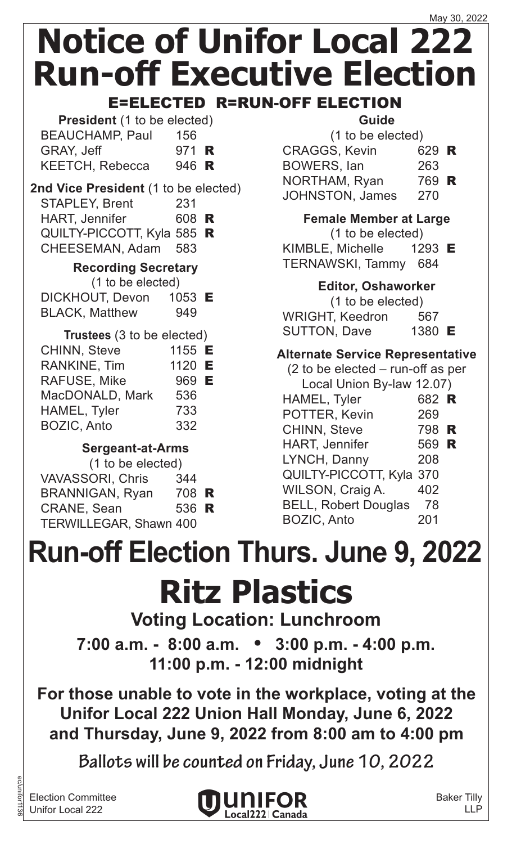E=ELECTED R=RUN-OFF ELECTION

| <b>President</b> (1 to be elected) |       |  |
|------------------------------------|-------|--|
| <b>BEAUCHAMP, Paul</b>             | 156   |  |
| GRAY, Jeff                         | 971 R |  |
| <b>KEETCH, Rebecca</b>             | 946 R |  |

#### **2nd Vice President** (1 to be elected) STAPLEY, Brent 231  $UADT$ , Jonnifor

| HART, Jenniller            | <b>DUO K</b> |  |
|----------------------------|--------------|--|
| QUILTY-PICCOTT, Kyla 585 R |              |  |
| CHEESEMAN, Adam 583        |              |  |

### **Recording Secretary**

(1 to be elected)

| DICKHOUT, Devon       | 1053 <b>E</b> |
|-----------------------|---------------|
| <b>BLACK, Matthew</b> | 949           |

| Trustees (3 to be elected) |        |  |
|----------------------------|--------|--|
| <b>CHINN, Steve</b>        | 1155 E |  |
| <b>RANKINE, Tim</b>        | 1120 E |  |
| RAFUSE, Mike               | 969 E  |  |
| MacDONALD, Mark            | 536    |  |
| HAMEL, Tyler               | 733    |  |
| <b>BOZIC, Anto</b>         | 332    |  |

### **Sergeant-at-Arms**

| (1 to be elected) |                               |       |  |
|-------------------|-------------------------------|-------|--|
|                   | <b>VAVASSORI, Chris</b>       | 344   |  |
|                   | <b>BRANNIGAN, Ryan</b>        | 708 R |  |
|                   | <b>CRANE, Sean</b>            | 536 R |  |
|                   | <b>TERWILLEGAR, Shawn 400</b> |       |  |
|                   |                               |       |  |

### **Guide**

| (1 to be elected) |                        |       |  |
|-------------------|------------------------|-------|--|
|                   | <b>CRAGGS, Kevin</b>   | 629 R |  |
|                   | <b>BOWERS, lan</b>     | 263   |  |
|                   | NORTHAM, Ryan          | 769 R |  |
|                   | <b>JOHNSTON, James</b> | 270   |  |
|                   |                        |       |  |

**Female Member at Large**

(1 to be elected)

KIMBLE, Michelle 1293 E TERNAWSKI, Tammy 684

**Editor, Oshaworker**

(1 to be elected) WRIGHT, Keedron 567 SUTTON, Dave 1380 E

### **Alternate Service Representative**

| $(2)$ to be elected – run-off as per |       |  |
|--------------------------------------|-------|--|
| Local Union By-law 12.07)            |       |  |
| HAMEL, Tyler                         | 682 R |  |
| POTTER, Kevin                        | 269   |  |
| <b>CHINN, Steve</b>                  | 798 R |  |
| <b>HART, Jennifer</b>                | 569 R |  |
| LYNCH, Danny                         | 208   |  |
| QUILTY-PICCOTT, Kyla 370             |       |  |
| WILSON, Craig A.                     | 402   |  |
| <b>BELL, Robert Douglas</b>          | 78    |  |
| <b>BOZIC, Anto</b>                   | 201   |  |
|                                      |       |  |

# **Run-off Election Thurs. June 9, 2022**

# **Ritz Plastics**

### **Voting Location: Lunchroom**

**7:00 a.m. - 8:00 a.m. • 3:00 p.m. - 4:00 p.m. 11:00 p.m. - 12:00 midnight**

**For those unable to vote in the workplace, voting at the Unifor Local 222 Union Hall Monday, June 6, 2022 and Thursday, June 9, 2022 from 8:00 am to 4:00 pm**

**Ballots will be counted on Friday, June 10, 2022**

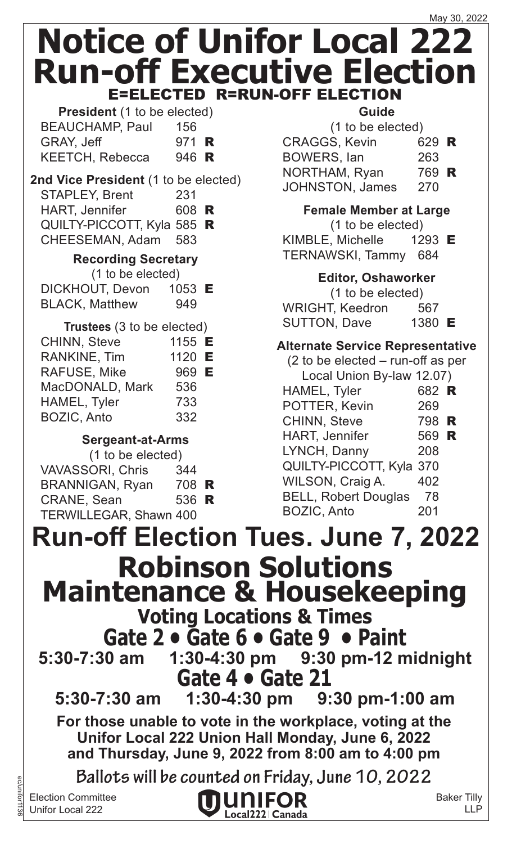**President** (1 to be elected) BEAUCHAMP, Paul 156 GRAY, Jeff 971 **R** KEETCH, Rebecca 946 R

### **2nd Vice President** (1 to be elected) STAPLEY, Brent 231

| <b>HART, Jennifer</b>      | 608 R |  |
|----------------------------|-------|--|
| QUILTY-PICCOTT, Kyla 585 R |       |  |
| CHEESEMAN, Adam 583        |       |  |

### **Recording Secretary**

| (1 to be elected)     |                   |  |
|-----------------------|-------------------|--|
| DICKHOUT, Devon       | 1053 $\mathsf{E}$ |  |
| <b>BLACK, Matthew</b> | 949               |  |

| Trustees (3 to be elected) |        |   |
|----------------------------|--------|---|
| <b>CHINN, Steve</b>        | 1155 E |   |
| <b>RANKINE, Tim</b>        | 1120   | E |
| <b>RAFUSE, Mike</b>        | 969 E  |   |
| MacDONALD, Mark            | 536    |   |
| HAMEL, Tyler               | 733    |   |
| <b>BOZIC, Anto</b>         | 332    |   |

### **Sergeant-at-Arms**

| (1 to be elected)             |       |  |
|-------------------------------|-------|--|
| <b>VAVASSORI, Chris</b>       | 344   |  |
| <b>BRANNIGAN, Ryan</b>        | 708 R |  |
| <b>CRANE, Sean</b>            | 536 R |  |
| <b>TERWILLEGAR, Shawn 400</b> |       |  |

ec/unifor1136

### **Guide**

| (1 to be elected)      |       |  |
|------------------------|-------|--|
| <b>CRAGGS, Kevin</b>   | 629 R |  |
| <b>BOWERS, lan</b>     | 263   |  |
| NORTHAM, Ryan          | 769 R |  |
| <b>JOHNSTON, James</b> | 270   |  |

### **Female Member at Large**

(1 to be elected) KIMBLE, Michelle 1293 E TERNAWSKI, Tammy 684

### **Editor, Oshaworker**

(1 to be elected) WRIGHT, Keedron 567 SUTTON, Dave 1380 E

### **Alternate Service Representative**

| $(2)$ to be elected – run-off as per |       |  |
|--------------------------------------|-------|--|
| Local Union By-law 12.07)            |       |  |
| HAMEL, Tyler                         | 682 R |  |
| POTTER, Kevin                        | 269   |  |
| <b>CHINN, Steve</b>                  | 798 R |  |
| <b>HART, Jennifer</b>                | 569 R |  |
| LYNCH, Danny                         | 208   |  |
| QUILTY-PICCOTT, Kyla 370             |       |  |
| WILSON, Craig A.                     | 402   |  |
| <b>BELL, Robert Douglas</b>          | 78    |  |
| <b>BOZIC, Anto</b>                   | 201   |  |
|                                      |       |  |

### **Run-off Election Tues. June 7, 2022 Robinson Solutions Maintenance & Housekeeping Voting Locations & Times Gate 2 • Gate 6 • Gate 9 • Paint**<br>5:30-7:30 am 1:30-4:30 pm 9:30 pm-12 n **5:30-7:30 am 1:30-4:30 pm 9:30 pm-12 midnight Gate 4 • Gate 21 5:30-7:30 am 1:30-4:30 pm 9:30 pm-1:00 am For those unable to vote in the workplace, voting at the Unifor Local 222 Union Hall Monday, June 6, 2022 and Thursday, June 9, 2022 from 8:00 am to 4:00 pm Ballots will be counted on Friday, June 10, 2022** Election Committee Baker Tilly IUNIFOR Unifor Local 222

Local222 | Canada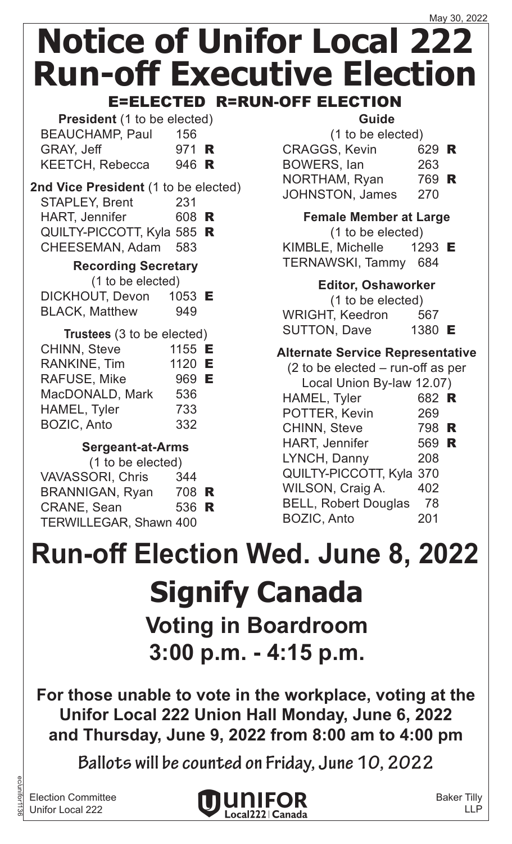**President** (1 to be elected) BEAUCHAMP, Paul 156 GRAY, Jeff 971 **R** KEETCH, Rebecca 946 R

### **2nd Vice President** (1 to be elected) STAPLEY, Brent 231

| <b>HART, Jennifer</b>      | 608 R |  |
|----------------------------|-------|--|
| QUILTY-PICCOTT, Kyla 585 R |       |  |
| CHEESEMAN, Adam 583        |       |  |

### **Recording Secretary**

(1 to be elected)

| DICKHOUT, Devon       | 1053 $E$ |
|-----------------------|----------|
| <b>BLACK, Matthew</b> | 949      |

| Trustees (3 to be elected) |        |  |
|----------------------------|--------|--|
| <b>CHINN, Steve</b>        | 1155 E |  |
| <b>RANKINE, Tim</b>        | 1120 E |  |
| <b>RAFUSE, Mike</b>        | 969 E  |  |
| MacDONALD, Mark            | 536    |  |
| HAMEL, Tyler               | 733    |  |
| <b>BOZIC, Anto</b>         | 332    |  |

### **Sergeant-at-Arms**

| (1 to be elected)             |       |  |
|-------------------------------|-------|--|
| <b>VAVASSORI, Chris</b>       | 344   |  |
| <b>BRANNIGAN, Ryan</b>        | 708 R |  |
| <b>CRANE, Sean</b>            | 536 R |  |
| <b>TERWILLEGAR, Shawn 400</b> |       |  |

### **Guide**

| (1 to be elected)      |       |  |
|------------------------|-------|--|
| <b>CRAGGS, Kevin</b>   | 629 R |  |
| <b>BOWERS, lan</b>     | 263   |  |
| NORTHAM, Ryan          | 769 R |  |
| <b>JOHNSTON, James</b> | 270   |  |
|                        |       |  |

**Female Member at Large** (1 to be elected) KIMBLE, Michelle 1293 E TERNAWSKI, Tammy 684

### **Editor, Oshaworker**

(1 to be elected) WRIGHT, Keedron 567 SUTTON, Dave 1380 E

### **Alternate Service Representative**

| $(2)$ to be elected – run-off as per |       |  |
|--------------------------------------|-------|--|
| Local Union By-law 12.07)            |       |  |
| HAMEL, Tyler                         | 682 R |  |
| POTTER, Kevin                        | 269   |  |
| <b>CHINN, Steve</b>                  | 798 R |  |
| <b>HART, Jennifer</b>                | 569 R |  |
| LYNCH, Danny                         | 208   |  |
| QUILTY-PICCOTT, Kyla 370             |       |  |
| WILSON, Craig A.                     | 402   |  |
| <b>BELL, Robert Douglas</b>          | 78    |  |
| <b>BOZIC, Anto</b>                   | 201   |  |
|                                      |       |  |

## **Signify Canada Voting in Boardroom 3:00 p.m. - 4:15 p.m. Run-off Election Wed. June 8, 2022**

**For those unable to vote in the workplace, voting at the Unifor Local 222 Union Hall Monday, June 6, 2022 and Thursday, June 9, 2022 from 8:00 am to 4:00 pm**

**Ballots will be counted on Friday, June 10, 2022**

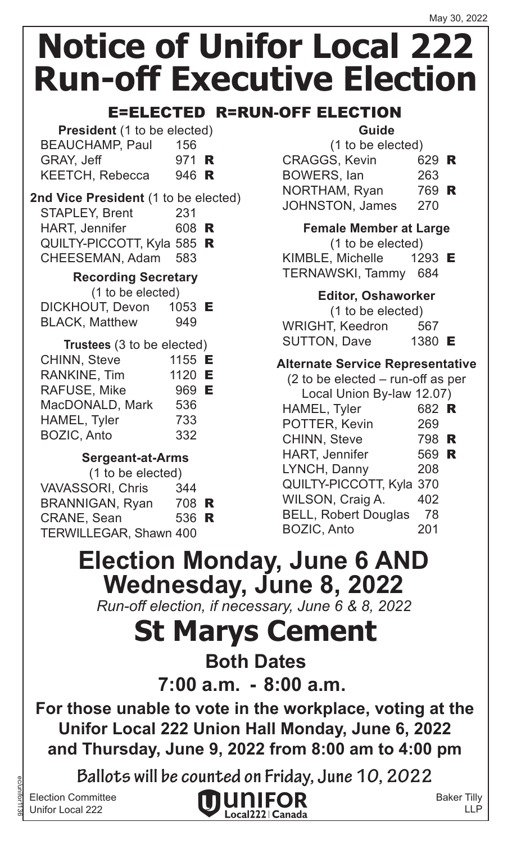### E=ELECTED R=RUN-OFF ELECTION

| <b>President</b> (1 to be elected) |       |  |
|------------------------------------|-------|--|
| <b>BEAUCHAMP, Paul</b>             | 156   |  |
| <b>GRAY, Jeff</b>                  | 971 R |  |
| <b>KEETCH, Rebecca</b>             | 946 R |  |

### **2nd Vice President** (1 to be elected)

| <b>STAPLEY, Brent</b>      | 231   |  |
|----------------------------|-------|--|
| <b>HART, Jennifer</b>      | 608 R |  |
| QUILTY-PICCOTT, Kyla 585 R |       |  |
| CHEESEMAN, Adam 583        |       |  |
|                            |       |  |

#### **Recording Secretary**

(1 to be elected)

| <b>DICKHOUT, Devon</b> | 1053 $E$ |
|------------------------|----------|
| <b>BLACK, Matthew</b>  | 949      |

| Trustees (3 to be elected) |        |  |
|----------------------------|--------|--|
| <b>CHINN, Steve</b>        | 1155 E |  |
| <b>RANKINE, Tim</b>        | 1120 E |  |
| <b>RAFUSE, Mike</b>        | 969 E  |  |
| MacDONALD, Mark            | 536    |  |
| HAMEL, Tyler               | 733    |  |
| <b>BOZIC, Anto</b>         | 332    |  |

### **Sergeant-at-Arms**

| (1 to be elected)       |       |  |
|-------------------------|-------|--|
| <b>VAVASSORI, Chris</b> | 344   |  |
| <b>BRANNIGAN, Ryan</b>  | 708 R |  |
| <b>CRANE, Sean</b>      | 536 R |  |
| TERWILLEGAR, Shawn 400  |       |  |

### **Guide**

| (1 to be elected) |                |
|-------------------|----------------|
|                   |                |
| 263               |                |
|                   |                |
| 270               |                |
|                   | 629 R<br>769 R |

### **Female Member at Large**

(1 to be elected)

KIMBLE, Michelle 1293 E TERNAWSKI, Tammy 684

### **Editor, Oshaworker**

(1 to be elected) WRIGHT, Keedron 567 SUTTON, Dave 1380 E

### **Alternate Service Representative**

| $(2)$ to be elected – run-off as per |       |  |
|--------------------------------------|-------|--|
| Local Union By-law 12.07)            |       |  |
| HAMEL, Tyler                         | 682 R |  |
| POTTER, Kevin                        | 269   |  |
| <b>CHINN, Steve</b>                  | 798 R |  |
| <b>HART, Jennifer</b>                | 569 R |  |
| LYNCH, Danny                         | 208   |  |
| QUILTY-PICCOTT, Kyla 370             |       |  |
| WILSON, Craig A.                     | 402   |  |
| <b>BELL, Robert Douglas</b>          | 78    |  |
| <b>BOZIC, Anto</b>                   | 201   |  |
|                                      |       |  |

## **Election Monday, June 6 AND Wednesday, June 8, 2022**

*Run-off election, if necessary, June 6 & 8, 2022*

## **St Marys Cement**

**Both Dates**

**7:00 a.m. - 8:00 a.m.**

**For those unable to vote in the workplace, voting at the Unifor Local 222 Union Hall Monday, June 6, 2022 and Thursday, June 9, 2022 from 8:00 am to 4:00 pm**

**Ballots will be counted on Friday, June 10, 2022**

Election Committee Unifor Local 222

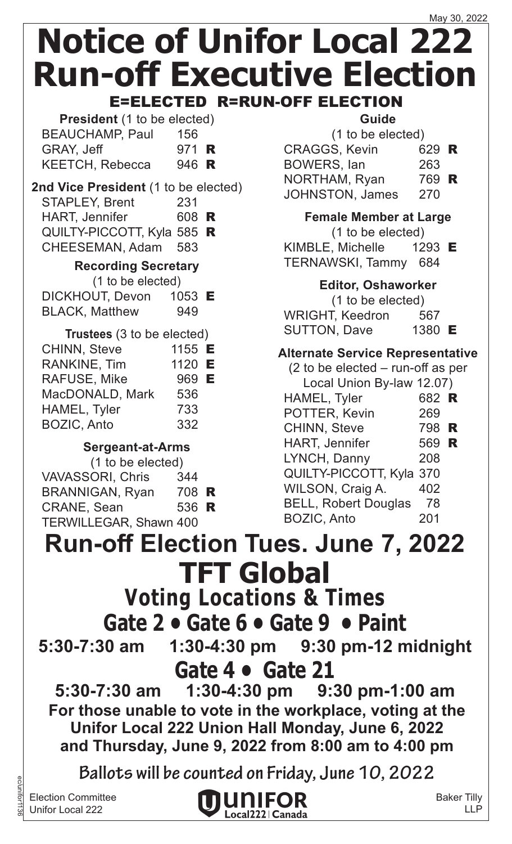| <b>President</b> (1 to be elected) |              |  |
|------------------------------------|--------------|--|
| <b>BEAUCHAMP, Paul</b>             | 156          |  |
| GRAY, Jeff                         | 971 <b>R</b> |  |
| <b>KEETCH, Rebecca</b>             | 946 R        |  |

#### **2nd Vice President** (1 to be elected) STAPLEY, Brent 231

- HART, Jennifer 608 R
- QUILTY-PICCOTT, Kyla 585 R CHEESEMAN, Adam 583

### **Recording Secretary**

- (1 to be elected)
- DICKHOUT, Devon 1053 E BLACK, Matthew 949

| Trustees (3 to be elected) |        |  |
|----------------------------|--------|--|
| <b>CHINN, Steve</b>        | 1155 E |  |
| RANKINE, Tim               | 1120 E |  |
| <b>RAFUSE, Mike</b>        | 969 E  |  |
| MacDONALD, Mark            | 536    |  |
| HAMEL, Tyler               | 733    |  |
| <b>BOZIC, Anto</b>         | 332    |  |

### **Sergeant-at-Arms**

| (1 to be elected)             |       |  |
|-------------------------------|-------|--|
| <b>VAVASSORI, Chris</b>       | 344   |  |
| <b>BRANNIGAN, Ryan</b>        | 708 R |  |
| <b>CRANE, Sean</b>            | 536 R |  |
| <b>TERWILLEGAR, Shawn 400</b> |       |  |
|                               |       |  |

### **Guide**

| (1 to be elected)      |       |  |
|------------------------|-------|--|
| <b>CRAGGS, Kevin</b>   | 629 R |  |
| <b>BOWERS, lan</b>     | 263   |  |
| NORTHAM, Ryan          | 769 R |  |
| <b>JOHNSTON, James</b> | 270   |  |
|                        |       |  |

**Female Member at Large**

(1 to be elected)

KIMBLE, Michelle 1293 E TERNAWSKI, Tammy 684

### **Editor, Oshaworker**

(1 to be elected) WRIGHT, Keedron 567 SUTTON, Dave 1380 E

### **Alternate Service Representative**

| $(2)$ to be elected – run-off as per |       |  |
|--------------------------------------|-------|--|
| Local Union By-law 12.07)            |       |  |
| HAMEL, Tyler                         | 682 R |  |
| POTTER, Kevin                        | 269   |  |
| <b>CHINN, Steve</b>                  | 798 R |  |
| <b>HART, Jennifer</b>                | 569 R |  |
| LYNCH, Danny                         | 208   |  |
| QUILTY-PICCOTT, Kyla 370             |       |  |
| WILSON, Craig A.                     | 402   |  |
| <b>BELL, Robert Douglas</b>          | 78    |  |
| <b>BOZIC, Anto</b>                   | 201   |  |
|                                      |       |  |

**TFT Global Voting Locations & Times Run-off Election Tues. June 7, 2022**

# **Gate 2 • Gate 6 • Gate 9 • Paint**<br>5:30-7:30 am 1:30-4:30 pm 9:30 pm-12 m

**5:30-7:30 am 1:30-4:30 pm 9:30 pm-12 midnight Gate 4 • Gate 21** 

**5:30-7:30 am 1:30-4:30 pm 9:30 pm-1:00 am For those unable to vote in the workplace, voting at the Unifor Local 222 Union Hall Monday, June 6, 2022 and Thursday, June 9, 2022 from 8:00 am to 4:00 pm**

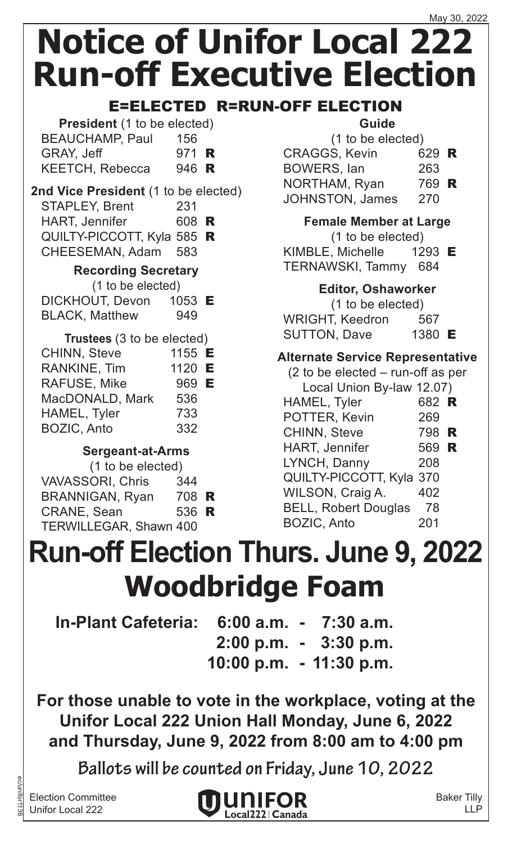### E=ELECTED R=RUN-OFF ELECTION

| <b>President</b> (1 to be elected) |              |  |
|------------------------------------|--------------|--|
| <b>BEAUCHAMP, Paul</b>             | 156          |  |
| <b>GRAY, Jeff</b>                  | 971 <b>R</b> |  |
| <b>KEETCH, Rebecca</b>             | 946 R        |  |

### **2nd Vice President** (1 to be elected)

| <b>STAPLEY, Brent</b>      | 231   |  |
|----------------------------|-------|--|
| <b>HART, Jennifer</b>      | 608 R |  |
| QUILTY-PICCOTT, Kyla 585 R |       |  |
| CHEESEMAN, Adam 583        |       |  |
|                            |       |  |

### **Recording Secretary**

(1 to be elected)

DICKHOUT, Devon 1053 E BLACK, Matthew 949

| Trustees (3 to be elected) |        |  |
|----------------------------|--------|--|
| <b>CHINN, Steve</b>        | 1155 E |  |
| RANKINE, Tim               | 1120 E |  |
| <b>RAFUSE, Mike</b>        | 969 E  |  |
| MacDONALD, Mark            | 536    |  |
| HAMEL, Tyler               | 733    |  |
| <b>BOZIC, Anto</b>         | 332    |  |

### **Sergeant-at-Arms**

| 344                           |
|-------------------------------|
| 708 R                         |
| 536 R                         |
| <b>TERWILLEGAR, Shawn 400</b> |
|                               |

### **Guide**

| (1 to be elected)                                         |       |          |
|-----------------------------------------------------------|-------|----------|
| <b>CRAGGS, Kevin</b>                                      | 629 R |          |
| <b>BOWERS, lan</b>                                        | 263   |          |
| $N$ $\cap$ $T$ $\cup$ $\wedge$ $\wedge$ $\wedge$ $\wedge$ | 700   | <b>D</b> |

NORTHAM, Ryan 769 R JOHNSTON, James 270

**Female Member at Large**

(1 to be elected)

KIMBLE, Michelle 1293 E TERNAWSKI, Tammy 684

### **Editor, Oshaworker**

(1 to be elected) WRIGHT, Keedron 567 SUTTON, Dave 1380 E

### **Alternate Service Representative**

| $(2 \text{ to be elected} - \text{run-off as per})$ |       |  |
|-----------------------------------------------------|-------|--|
| Local Union By-law 12.07)                           |       |  |
| HAMEL, Tyler                                        | 682 R |  |
| POTTER, Kevin                                       | 269   |  |
| <b>CHINN, Steve</b>                                 | 798 R |  |
| <b>HART, Jennifer</b>                               | 569 R |  |
| LYNCH, Danny                                        | 208   |  |
| QUILTY-PICCOTT, Kyla 370                            |       |  |
| WILSON, Craig A.                                    | 402   |  |
| <b>BELL, Robert Douglas</b>                         | 78    |  |
| <b>BOZIC, Anto</b>                                  | 201   |  |

## **Woodbridge Foam Run-off Election Thurs. June 9, 2022**

- **In-Plant Cafeteria: 6:00 a.m. - 7:30 a.m. 2:00 p.m. - 3:30 p.m.**
	- **10:00 p.m. - 11:30 p.m.**

**For those unable to vote in the workplace, voting at the Unifor Local 222 Union Hall Monday, June 6, 2022 and Thursday, June 9, 2022 from 8:00 am to 4:00 pm**